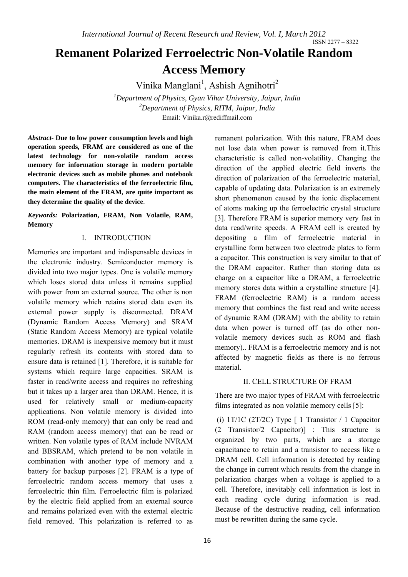# **Remanent Polarized Ferroelectric Non-Volatile Random Access Memory**

Vinika Manglani<sup>1</sup>, Ashish Agnihotri<sup>2</sup>

*1 Department of Physics, Gyan Vihar University, Jaipur, India 2 Department of Physics, RITM, Jaipur, India*  Email: Vinika.r@rediffmail.com

*Abstract-* **Due to low power consumption levels and high operation speeds, FRAM are considered as one of the latest technology for non-volatile random access memory for information storage in modern portable electronic devices such as mobile phones and notebook computers. The characteristics of the ferroelectric film, the main element of the FRAM, are quite important as they determine the quality of the device**.

*Keywords:* **Polarization, FRAM, Non Volatile, RAM, Memory** 

## I. INTRODUCTION

Memories are important and indispensable devices in the electronic industry. Semiconductor memory is divided into two major types. One is volatile memory which loses stored data unless it remains supplied with power from an external source. The other is non volatile memory which retains stored data even its external power supply is disconnected. DRAM (Dynamic Random Access Memory) and SRAM (Static Random Access Memory) are typical volatile memories. DRAM is inexpensive memory but it must regularly refresh its contents with stored data to ensure data is retained [1]. Therefore, it is suitable for systems which require large capacities. SRAM is faster in read/write access and requires no refreshing but it takes up a larger area than DRAM. Hence, it is used for relatively small or medium-capacity applications. Non volatile memory is divided into ROM (read-only memory) that can only be read and RAM (random access memory) that can be read or written. Non volatile types of RAM include NVRAM and BBSRAM, which pretend to be non volatile in combination with another type of memory and a battery for backup purposes [2]. FRAM is a type of ferroelectric random access memory that uses a ferroelectric thin film. Ferroelectric film is polarized by the electric field applied from an external source and remains polarized even with the external electric field removed. This polarization is referred to as

remanent polarization. With this nature, FRAM does not lose data when power is removed from it.This characteristic is called non-volatility. Changing the direction of the applied electric field inverts the direction of polarization of the ferroelectric material, capable of updating data. Polarization is an extremely short phenomenon caused by the ionic displacement of atoms making up the ferroelectric crystal structure [3]. Therefore FRAM is superior memory very fast in data read/write speeds. A FRAM cell is created by depositing a film of ferroelectric material in crystalline form between two electrode plates to form a capacitor. This construction is very similar to that of the DRAM capacitor. Rather than storing data as charge on a capacitor like a DRAM, a ferroelectric memory stores data within a crystalline structure [4]. FRAM (ferroelectric RAM) is a random access memory that combines the fast read and write access of dynamic RAM (DRAM) with the ability to retain data when power is turned off (as do other nonvolatile memory devices such as ROM and flash memory).. FRAM is a ferroelectric memory and is not affected by magnetic fields as there is no ferrous material.

## II. CELL STRUCTURE OF FRAM

There are two major types of FRAM with ferroelectric films integrated as non volatile memory cells [5]:

(i) 1T/1C (2T/2C) Type  $\lceil$  1 Transistor / 1 Capacitor (2 Transistor/2 Capacitor)] : This structure is organized by two parts, which are a storage capacitance to retain and a transistor to access like a DRAM cell. Cell information is detected by reading the change in current which results from the change in polarization charges when a voltage is applied to a cell. Therefore, inevitably cell information is lost in each reading cycle during information is read. Because of the destructive reading, cell information must be rewritten during the same cycle.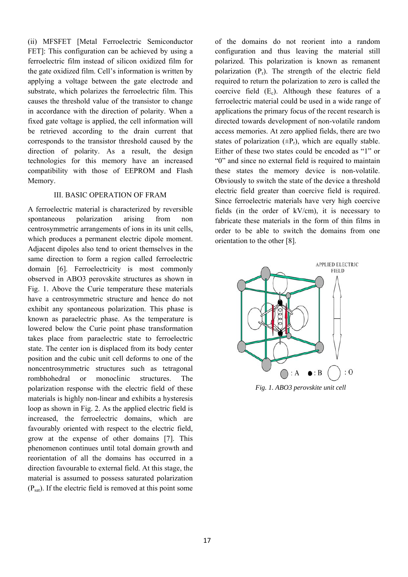(ii) MFSFET [Metal Ferroelectric Semiconductor FET]: This configuration can be achieved by using a ferroelectric film instead of silicon oxidized film for the gate oxidized film. Cell's information is written by applying a voltage between the gate electrode and substrate, which polarizes the ferroelectric film. This causes the threshold value of the transistor to change in accordance with the direction of polarity. When a fixed gate voltage is applied, the cell information will be retrieved according to the drain current that corresponds to the transistor threshold caused by the direction of polarity. As a result, the design technologies for this memory have an increased compatibility with those of EEPROM and Flash Memory.

### III. BASIC OPERATION OF FRAM

A ferroelectric material is characterized by reversible spontaneous polarization arising from non centrosymmetric arrangements of ions in its unit cells, which produces a permanent electric dipole moment. Adjacent dipoles also tend to orient themselves in the same direction to form a region called ferroelectric domain [6]. Ferroelectricity is most commonly observed in ABO3 perovskite structures as shown in Fig. 1. Above the Curie temperature these materials have a centrosymmetric structure and hence do not exhibit any spontaneous polarization. This phase is known as paraelectric phase. As the temperature is lowered below the Curie point phase transformation takes place from paraelectric state to ferroelectric state. The center ion is displaced from its body center position and the cubic unit cell deforms to one of the noncentrosymmetric structures such as tetragonal rombhohedral or monoclinic structures. The polarization response with the electric field of these materials is highly non-linear and exhibits a hysteresis loop as shown in Fig. 2. As the applied electric field is increased, the ferroelectric domains, which are favourably oriented with respect to the electric field, grow at the expense of other domains [7]. This phenomenon continues until total domain growth and reorientation of all the domains has occurred in a direction favourable to external field. At this stage, the material is assumed to possess saturated polarization  $(P_{sat})$ . If the electric field is removed at this point some

of the domains do not reorient into a random configuration and thus leaving the material still polarized. This polarization is known as remanent polarization  $(P_r)$ . The strength of the electric field required to return the polarization to zero is called the coercive field  $(E_c)$ . Although these features of a ferroelectric material could be used in a wide range of applications the primary focus of the recent research is directed towards development of non-volatile random access memories. At zero applied fields, there are two states of polarization  $(\pm P_r)$ , which are equally stable. Either of these two states could be encoded as "1" or "0" and since no external field is required to maintain these states the memory device is non-volatile. Obviously to switch the state of the device a threshold electric field greater than coercive field is required. Since ferroelectric materials have very high coercive fields (in the order of kV/cm), it is necessary to fabricate these materials in the form of thin films in order to be able to switch the domains from one orientation to the other [8].



*Fig. 1. ABO3 perovskite unit cell*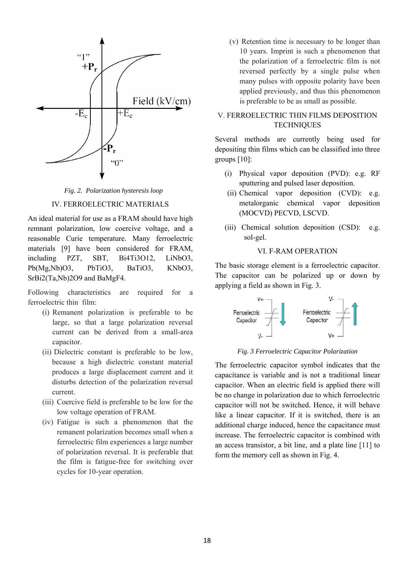

*Fig. 2. Polarization hysteresis loop* 

#### IV. FERROELECTRIC MATERIALS

An ideal material for use as a FRAM should have high remnant polarization, low coercive voltage, and a reasonable Curie temperature. Many ferroelectric materials [9] have been considered for FRAM, including PZT, SBT, Bi4Ti3O12, LiNbO3, Pb(Mg,Nb)O3, PbTiO3, BaTiO3, KNbO3, SrBi2(Ta,Nb)2O9 and BaMgF4.

Following characteristics are required for a ferroelectric thin film:

- (i) Remanent polarization is preferable to be large, so that a large polarization reversal current can be derived from a small-area capacitor.
- (ii) Dielectric constant is preferable to be low, because a high dielectric constant material produces a large displacement current and it disturbs detection of the polarization reversal current.
- (iii) Coercive field is preferable to be low for the low voltage operation of FRAM.
- (iv) Fatigue is such a phenomenon that the remanent polarization becomes small when a ferroelectric film experiences a large number of polarization reversal. It is preferable that the film is fatigue-free for switching over cycles for 10-year operation.

(v) Retention time is necessary to be longer than 10 years. Imprint is such a phenomenon that the polarization of a ferroelectric film is not reversed perfectly by a single pulse when many pulses with opposite polarity have been applied previously, and thus this phenomenon is preferable to be as small as possible.

## V. FERROELECTRIC THIN FILMS DEPOSITION **TECHNIQUES**

Several methods are currently being used for depositing thin films which can be classified into three groups [10]:

- (i) Physical vapor deposition (PVD): e.g. RF sputtering and pulsed laser deposition.
- (ii) Chemical vapor deposition (CVD): e.g. metalorganic chemical vapor deposition (MOCVD) PECVD, LSCVD.
- (iii) Chemical solution deposition (CSD): e.g. sol-gel.

## VI. F-RAM OPERATION

The basic storage element is a ferroelectric capacitor. The capacitor can be polarized up or down by applying a field as shown in Fig. 3.



*Fig. 3 Ferroelectric Capacitor Polarization* 

The ferroelectric capacitor symbol indicates that the capacitance is variable and is not a traditional linear capacitor. When an electric field is applied there will be no change in polarization due to which ferroelectric capacitor will not be switched. Hence, it will behave like a linear capacitor. If it is switched, there is an additional charge induced, hence the capacitance must increase. The ferroelectric capacitor is combined with an access transistor, a bit line, and a plate line [11] to form the memory cell as shown in Fig. 4.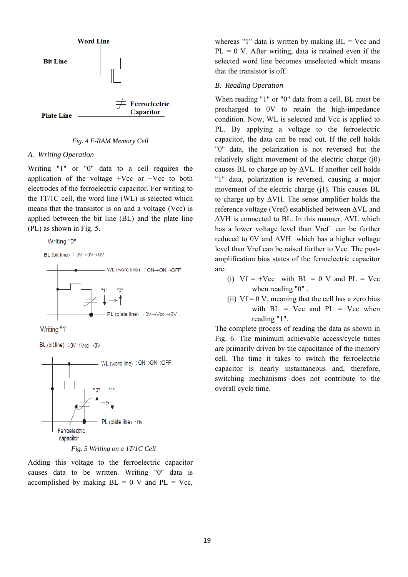

#### *Fig. 4 F-RAM Memory Cell*

#### *A. Writing Operation*

Writing "1" or "0" data to a cell requires the application of the voltage +Vcc or −Vcc to both electrodes of the ferroelectric capacitor. For writing to the 1T/1C cell, the word line (WL) is selected which means that the transistor is on and a voltage (Vcc) is applied between the bit line (BL) and the plate line (PL) as shown in Fig. 5.

BL (bit line) :  $0 \vee \rightarrow 0 \vee \rightarrow 0 \vee$ 





BL (bit line) :  $0 \vee \rightarrow \vee c \vee \rightarrow 0 \vee$ 



*Fig. 5 Writing on a 1T/1C Cell* 

Adding this voltage to the ferroelectric capacitor causes data to be written. Writing "0" data is accomplished by making  $BL = 0$  V and  $PL = Vcc$ , whereas "1" data is written by making  $BL = Vcc$  and  $PL = 0$  V. After writing, data is retained even if the selected word line becomes unselected which means that the transistor is off.

#### *B. Reading Operation*

When reading "1" or "0" data from a cell, BL must be precharged to 0V to retain the high-impedance condition. Now, WL is selected and Vcc is applied to PL. By applying a voltage to the ferroelectric capacitor, the data can be read out. If the cell holds "0" data, the polarization is not reversed but the relatively slight movement of the electric charge (j0) causes BL to charge up by  $\Delta$ VL. If another cell holds "1" data, polarization is reversed, causing a major movement of the electric charge (j1). This causes BL to charge up by ΔVH. The sense amplifier holds the reference voltage (Vref) established between ΔVL and ΔVH is connected to BL. In this manner, ΔVL which has a lower voltage level than Vref can be further reduced to 0V and  $\Delta V$ H which has a higher voltage level than Vref can be raised further to Vcc. The postamplification bias states of the ferroelectric capacitor are:

- (i)  $Vf = +Vcc$  with  $BL = 0$  V and  $PL = Vcc$ when reading "0" .
- (ii)  $Vf = 0 V$ , meaning that the cell has a zero bias with  $BL = Vcc$  and  $PL = Vcc$  when reading "1".

The complete process of reading the data as shown in Fig. 6. The minimum achievable access/cycle times are primarily driven by the capacitance of the memory cell. The time it takes to switch the ferroelectric capacitor is nearly instantaneous and, therefore, switching mechanisms does not contribute to the overall cycle time.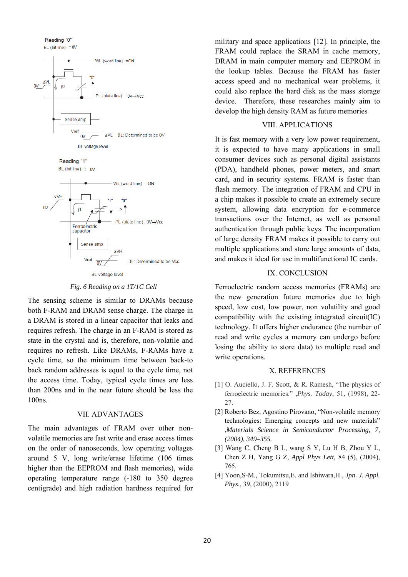



Reading "1"



*Fig. 6 Reading on a 1T/1C Cell* 

The sensing scheme is similar to DRAMs because both F-RAM and DRAM sense charge. The charge in a DRAM is stored in a linear capacitor that leaks and requires refresh. The charge in an F-RAM is stored as state in the crystal and is, therefore, non-volatile and requires no refresh. Like DRAMs, F-RAMs have a cycle time, so the minimum time between back-to back random addresses is equal to the cycle time, not the access time. Today, typical cycle times are less than 200ns and in the near future should be less the 100ns.

#### VII. ADVANTAGES

The main advantages of FRAM over other nonvolatile memories are fast write and erase access times on the order of nanoseconds, low operating voltages around 5 V, long write/erase lifetime (106 times higher than the EEPROM and flash memories), wide operating temperature range (-180 to 350 degree centigrade) and high radiation hardness required for

military and space applications [12]. In principle, the FRAM could replace the SRAM in cache memory, DRAM in main computer memory and EEPROM in the lookup tables. Because the FRAM has faster access speed and no mechanical wear problems, it could also replace the hard disk as the mass storage device. Therefore, these researches mainly aim to develop the high density RAM as future memories

#### VIII. APPLICATIONS

It is fast memory with a very low power requirement, it is expected to have many applications in small consumer devices such as personal digital assistants (PDA), handheld phones, power meters, and smart card, and in security systems. FRAM is faster than flash memory. The integration of FRAM and CPU in a chip makes it possible to create an extremely secure system, allowing data encryption for e-commerce transactions over the Internet, as well as personal authentication through public keys. The incorporation of large density FRAM makes it possible to carry out multiple applications and store large amounts of data, and makes it ideal for use in multifunctional IC cards.

#### IX. CONCLUSION

Ferroelectric random access memories (FRAMs) are the new generation future memories due to high speed, low cost, low power, non volatility and good compatibility with the existing integrated circuit(IC) technology. It offers higher endurance (the number of read and write cycles a memory can undergo before losing the ability to store data) to multiple read and write operations.

#### X. REFERENCES

- [1] O. Auciello, J. F. Scott, & R. Ramesh, "The physics of ferroelectric memories." ,*Phys. Today*, 51, (1998), 22- 27.
- [2] Roberto Bez, Agostino Pirovano, "Non-volatile memory technologies: Emerging concepts and new materials" ,*Materials Science in Semiconductor Processing, 7, (2004), 349–355.*
- [3] Wang C, Cheng B L, wang S Y, Lu H B, Zhou Y L, Chen Z H, Yang G Z, *Appl Phys Lett,* 84 (5), (2004), 765.
- [4] Yoon,S-M., Tokumitsu,E. and Ishiwara,H., *Jpn. J. Appl. Phys.*, 39, (2000), 2119